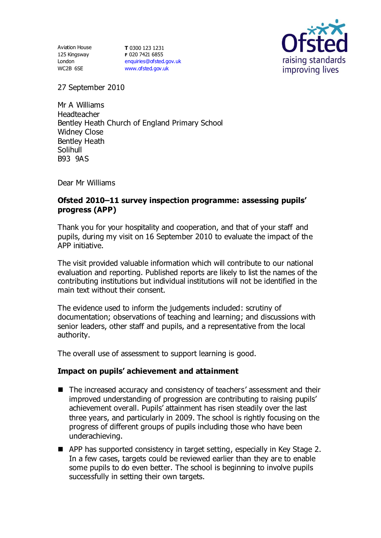Aviation House 125 Kingsway London WC2B 6SE

**T** 0300 123 1231 **F** 020 7421 6855 [enquiries@ofsted.gov.uk](mailto:enquiries@ofsted.gov.uk) [www.ofsted.gov.uk](http://www.ofsted.gov.uk/)



27 September 2010

Mr A Williams Headteacher Bentley Heath Church of England Primary School Widney Close Bentley Heath Solihull B93 9AS

Dear Mr Williams

## **Ofsted 2010–11 survey inspection programme: assessing pupils' progress (APP)**

Thank you for your hospitality and cooperation, and that of your staff and pupils, during my visit on 16 September 2010 to evaluate the impact of the APP initiative.

The visit provided valuable information which will contribute to our national evaluation and reporting. Published reports are likely to list the names of the contributing institutions but individual institutions will not be identified in the main text without their consent.

The evidence used to inform the judgements included: scrutiny of documentation; observations of teaching and learning; and discussions with senior leaders, other staff and pupils, and a representative from the local authority.

The overall use of assessment to support learning is good.

### **Impact on pupils' achievement and attainment**

- The increased accuracy and consistency of teachers' assessment and their improved understanding of progression are contributing to raising pupils' achievement overall. Pupils' attainment has risen steadily over the last three years, and particularly in 2009. The school is rightly focusing on the progress of different groups of pupils including those who have been underachieving.
- APP has supported consistency in target setting, especially in Key Stage 2. In a few cases, targets could be reviewed earlier than they are to enable some pupils to do even better. The school is beginning to involve pupils successfully in setting their own targets.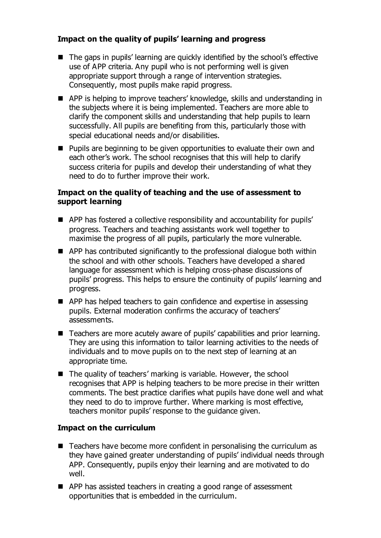# **Impact on the quality of pupils' learning and progress**

- The gaps in pupils' learning are quickly identified by the school's effective use of APP criteria. Any pupil who is not performing well is given appropriate support through a range of intervention strategies. Consequently, most pupils make rapid progress.
- APP is helping to improve teachers' knowledge, skills and understanding in the subjects where it is being implemented. Teachers are more able to clarify the component skills and understanding that help pupils to learn successfully. All pupils are benefiting from this, particularly those with special educational needs and/or disabilities.
- **Pupils are beginning to be given opportunities to evaluate their own and** each other's work. The school recognises that this will help to clarify success criteria for pupils and develop their understanding of what they need to do to further improve their work.

## **Impact on the quality of teaching and the use of assessment to support learning**

- APP has fostered a collective responsibility and accountability for pupils' progress. Teachers and teaching assistants work well together to maximise the progress of all pupils, particularly the more vulnerable.
- APP has contributed significantly to the professional dialogue both within the school and with other schools. Teachers have developed a shared language for assessment which is helping cross-phase discussions of pupils' progress. This helps to ensure the continuity of pupils' learning and progress.
- **APP** has helped teachers to gain confidence and expertise in assessing pupils. External moderation confirms the accuracy of teachers' assessments.
- Teachers are more acutely aware of pupils' capabilities and prior learning. They are using this information to tailor learning activities to the needs of individuals and to move pupils on to the next step of learning at an appropriate time.
- The quality of teachers' marking is variable. However, the school recognises that APP is helping teachers to be more precise in their written comments. The best practice clarifies what pupils have done well and what they need to do to improve further. Where marking is most effective, teachers monitor pupils' response to the guidance given.

# **Impact on the curriculum**

- Teachers have become more confident in personalising the curriculum as they have gained greater understanding of pupils' individual needs through APP. Consequently, pupils enjoy their learning and are motivated to do well.
- APP has assisted teachers in creating a good range of assessment opportunities that is embedded in the curriculum.